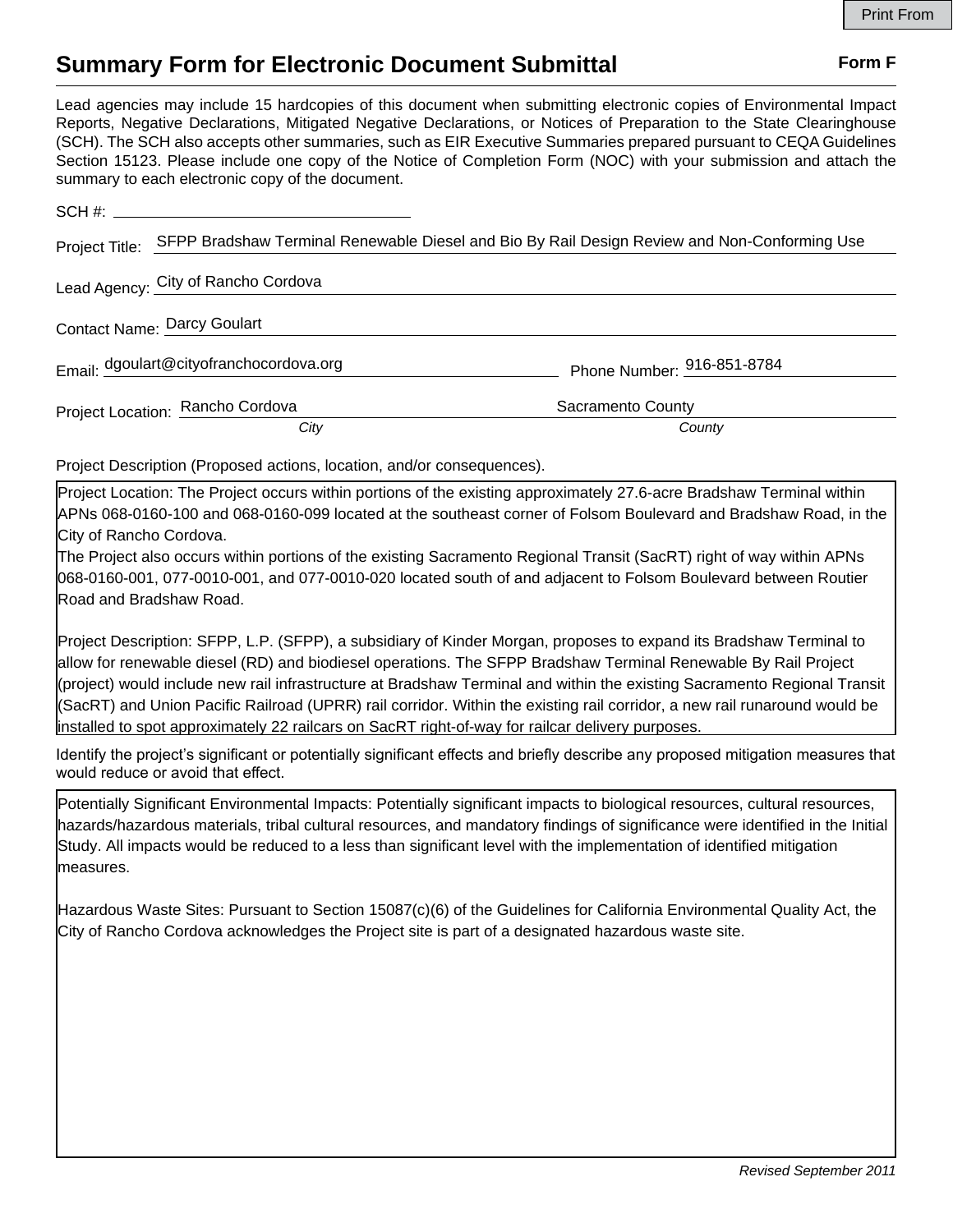## **Summary Form for Electronic Document Submittal Form F Form F**

Lead agencies may include 15 hardcopies of this document when submitting electronic copies of Environmental Impact Reports, Negative Declarations, Mitigated Negative Declarations, or Notices of Preparation to the State Clearinghouse (SCH). The SCH also accepts other summaries, such as EIR Executive Summaries prepared pursuant to CEQA Guidelines Section 15123. Please include one copy of the Notice of Completion Form (NOC) with your submission and attach the summary to each electronic copy of the document.

| Project Title:                      |                                         | SFPP Bradshaw Terminal Renewable Diesel and Bio By Rail Design Review and Non-Conforming Use |
|-------------------------------------|-----------------------------------------|----------------------------------------------------------------------------------------------|
| Lead Agency: City of Rancho Cordova |                                         |                                                                                              |
| <b>Contact Name: Darcy Goulart</b>  |                                         |                                                                                              |
|                                     | Email: dgoulart@cityofranchocordova.org | Phone Number: 916-851-8784                                                                   |
|                                     | Project Location: Rancho Cordova        | Sacramento County                                                                            |
|                                     | City                                    | County                                                                                       |

Project Description (Proposed actions, location, and/or consequences).

Project Location: The Project occurs within portions of the existing approximately 27.6-acre Bradshaw Terminal within APNs 068-0160-100 and 068-0160-099 located at the southeast corner of Folsom Boulevard and Bradshaw Road, in the City of Rancho Cordova.

The Project also occurs within portions of the existing Sacramento Regional Transit (SacRT) right of way within APNs 068-0160-001, 077-0010-001, and 077-0010-020 located south of and adjacent to Folsom Boulevard between Routier Road and Bradshaw Road.

Project Description: SFPP, L.P. (SFPP), a subsidiary of Kinder Morgan, proposes to expand its Bradshaw Terminal to allow for renewable diesel (RD) and biodiesel operations. The SFPP Bradshaw Terminal Renewable By Rail Project (project) would include new rail infrastructure at Bradshaw Terminal and within the existing Sacramento Regional Transit (SacRT) and Union Pacific Railroad (UPRR) rail corridor. Within the existing rail corridor, a new rail runaround would be installed to spot approximately 22 railcars on SacRT right-of-way for railcar delivery purposes.

Identify the project's significant or potentially significant effects and briefly describe any proposed mitigation measures that would reduce or avoid that effect.

dedicated for biodiesel and RD offloading. The rail system would be able to offload approximately 20,000 barrels per day Potentially Significant Environmental Impacts: Potentially significant impacts to biological resources, cultural resources, hazards/hazardous materials, tribal cultural resources, and mandatory findings of significance were identified in the Initial<br>Culturalism  $T$  project would also include a new  $80$  storage tank and a new insulated biodiesel tank  $R$ Study. All impacts would be reduced to a less than significant level with the implementation of identified mitigation measures.

approximately 15,000-bbl working capacity. Both tanks would be installed within the existing secondary containment Hazardous Waste Sites: Pursuant to Section 15087(c)(6) of the Guidelines for California Environmental Quality Act, the<br>
The container of the container to the container the Cuidelines for California Environmental Quality Ac City of Rancho Cordova acknowledges the Project site is part of a designated hazardous waste site.

Additionally, the project would include a new two-lane truck blending and loading rack. The truck rack would be capable of blending biodiesel with CARB diesel or RD. Truck loading may to take place up to 7 days per week. The project's

proposed fuel throughput would result in 112 new truck loads per day, for 224 new truck trips per day.